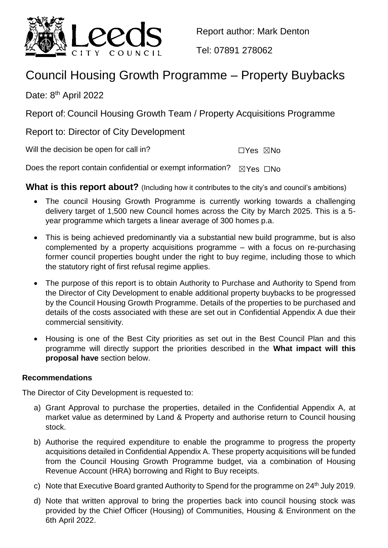

Report author: Mark Denton

Tel: 07891 278062

# Council Housing Growth Programme – Property Buybacks

Date: 8<sup>th</sup> April 2022

Report of: Council Housing Growth Team / Property Acquisitions Programme

Report to: Director of City Development

Will the decision be open for call in?  $\square Y$ es  $\square$ No

Does the report contain confidential or exempt information?  $\boxtimes$ Yes  $\Box$ No

**What is this report about?** (Including how it contributes to the city's and council's ambitions)

- The council Housing Growth Programme is currently working towards a challenging delivery target of 1,500 new Council homes across the City by March 2025. This is a 5 year programme which targets a linear average of 300 homes p.a.
- This is being achieved predominantly via a substantial new build programme, but is also complemented by a property acquisitions programme – with a focus on re-purchasing former council properties bought under the right to buy regime, including those to which the statutory right of first refusal regime applies.
- The purpose of this report is to obtain Authority to Purchase and Authority to Spend from the Director of City Development to enable additional property buybacks to be progressed by the Council Housing Growth Programme. Details of the properties to be purchased and details of the costs associated with these are set out in Confidential Appendix A due their commercial sensitivity.
- Housing is one of the Best City priorities as set out in the Best Council Plan and this programme will directly support the priorities described in the **What impact will this proposal have** section below.

## **Recommendations**

The Director of City Development is requested to:

- a) Grant Approval to purchase the properties, detailed in the Confidential Appendix A, at market value as determined by Land & Property and authorise return to Council housing stock.
- b) Authorise the required expenditure to enable the programme to progress the property acquisitions detailed in Confidential Appendix A. These property acquisitions will be funded from the Council Housing Growth Programme budget, via a combination of Housing Revenue Account (HRA) borrowing and Right to Buy receipts.
- c) Note that Executive Board granted Authority to Spend for the programme on  $24<sup>th</sup>$  July 2019.
- d) Note that written approval to bring the properties back into council housing stock was provided by the Chief Officer (Housing) of Communities, Housing & Environment on the 6th April 2022.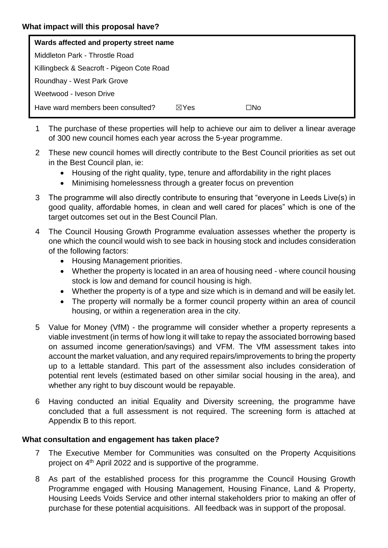| Wards affected and property street name   |                 |     |
|-------------------------------------------|-----------------|-----|
| Middleton Park - Throstle Road            |                 |     |
| Killingbeck & Seacroft - Pigeon Cote Road |                 |     |
| Roundhay - West Park Grove                |                 |     |
| Weetwood - Iveson Drive                   |                 |     |
| Have ward members been consulted?         | $\boxtimes$ Yes | □No |

- 1 The purchase of these properties will help to achieve our aim to deliver a linear average of 300 new council homes each year across the 5-year programme.
- 2 These new council homes will directly contribute to the Best Council priorities as set out in the Best Council plan, ie:
	- Housing of the right quality, type, tenure and affordability in the right places
	- Minimising homelessness through a greater focus on prevention
- 3 The programme will also directly contribute to ensuring that "everyone in Leeds Live(s) in good quality, affordable homes, in clean and well cared for places" which is one of the target outcomes set out in the Best Council Plan.
- 4 The Council Housing Growth Programme evaluation assesses whether the property is one which the council would wish to see back in housing stock and includes consideration of the following factors:
	- Housing Management priorities.
	- Whether the property is located in an area of housing need where council housing stock is low and demand for council housing is high.
	- Whether the property is of a type and size which is in demand and will be easily let.
	- The property will normally be a former council property within an area of council housing, or within a regeneration area in the city.
- 5 Value for Money (VfM) the programme will consider whether a property represents a viable investment (in terms of how long it will take to repay the associated borrowing based on assumed income generation/savings) and VFM. The VfM assessment takes into account the market valuation, and any required repairs/improvements to bring the property up to a lettable standard. This part of the assessment also includes consideration of potential rent levels (estimated based on other similar social housing in the area), and whether any right to buy discount would be repayable.
- 6 Having conducted an initial Equality and Diversity screening, the programme have concluded that a full assessment is not required. The screening form is attached at Appendix B to this report.

## **What consultation and engagement has taken place?**

- 7 The Executive Member for Communities was consulted on the Property Acquisitions project on 4<sup>th</sup> April 2022 and is supportive of the programme.
- 8 As part of the established process for this programme the Council Housing Growth Programme engaged with Housing Management, Housing Finance, Land & Property, Housing Leeds Voids Service and other internal stakeholders prior to making an offer of purchase for these potential acquisitions. All feedback was in support of the proposal.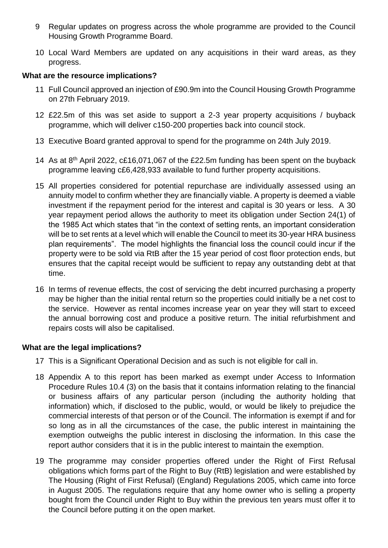- 9 Regular updates on progress across the whole programme are provided to the Council Housing Growth Programme Board.
- 10 Local Ward Members are updated on any acquisitions in their ward areas, as they progress.

#### **What are the resource implications?**

- 11 Full Council approved an injection of £90.9m into the Council Housing Growth Programme on 27th February 2019.
- 12 £22.5m of this was set aside to support a 2-3 year property acquisitions / buyback programme, which will deliver c150-200 properties back into council stock.
- 13 Executive Board granted approval to spend for the programme on 24th July 2019.
- 14 As at 8<sup>th</sup> April 2022, c£16,071,067 of the £22.5m funding has been spent on the buyback programme leaving c£6,428,933 available to fund further property acquisitions.
- 15 All properties considered for potential repurchase are individually assessed using an annuity model to confirm whether they are financially viable. A property is deemed a viable investment if the repayment period for the interest and capital is 30 years or less. A 30 year repayment period allows the authority to meet its obligation under Section 24(1) of the 1985 Act which states that "in the context of setting rents, an important consideration will be to set rents at a level which will enable the Council to meet its 30-year HRA business plan requirements". The model highlights the financial loss the council could incur if the property were to be sold via RtB after the 15 year period of cost floor protection ends, but ensures that the capital receipt would be sufficient to repay any outstanding debt at that time.
- 16 In terms of revenue effects, the cost of servicing the debt incurred purchasing a property may be higher than the initial rental return so the properties could initially be a net cost to the service. However as rental incomes increase year on year they will start to exceed the annual borrowing cost and produce a positive return. The initial refurbishment and repairs costs will also be capitalised.

#### **What are the legal implications?**

- 17 This is a Significant Operational Decision and as such is not eligible for call in.
- 18 Appendix A to this report has been marked as exempt under Access to Information Procedure Rules 10.4 (3) on the basis that it contains information relating to the financial or business affairs of any particular person (including the authority holding that information) which, if disclosed to the public, would, or would be likely to prejudice the commercial interests of that person or of the Council. The information is exempt if and for so long as in all the circumstances of the case, the public interest in maintaining the exemption outweighs the public interest in disclosing the information. In this case the report author considers that it is in the public interest to maintain the exemption.
- 19 The programme may consider properties offered under the Right of First Refusal obligations which forms part of the Right to Buy (RtB) legislation and were established by The Housing (Right of First Refusal) (England) Regulations 2005, which came into force in August 2005. The regulations require that any home owner who is selling a property bought from the Council under Right to Buy within the previous ten years must offer it to the Council before putting it on the open market.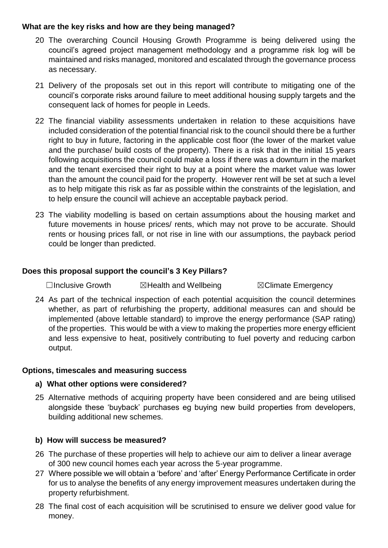#### **What are the key risks and how are they being managed?**

- 20 The overarching Council Housing Growth Programme is being delivered using the council's agreed project management methodology and a programme risk log will be maintained and risks managed, monitored and escalated through the governance process as necessary.
- 21 Delivery of the proposals set out in this report will contribute to mitigating one of the council's corporate risks around failure to meet additional housing supply targets and the consequent lack of homes for people in Leeds.
- 22 The financial viability assessments undertaken in relation to these acquisitions have included consideration of the potential financial risk to the council should there be a further right to buy in future, factoring in the applicable cost floor (the lower of the market value and the purchase/ build costs of the property). There is a risk that in the initial 15 years following acquisitions the council could make a loss if there was a downturn in the market and the tenant exercised their right to buy at a point where the market value was lower than the amount the council paid for the property. However rent will be set at such a level as to help mitigate this risk as far as possible within the constraints of the legislation, and to help ensure the council will achieve an acceptable payback period.
- 23 The viability modelling is based on certain assumptions about the housing market and future movements in house prices/ rents, which may not prove to be accurate. Should rents or housing prices fall, or not rise in line with our assumptions, the payback period could be longer than predicted.

## **Does this proposal support the council's 3 Key Pillars?**

☐Inclusive Growth ☒Health and Wellbeing ☒Climate Emergency

24 As part of the technical inspection of each potential acquisition the council determines whether, as part of refurbishing the property, additional measures can and should be implemented (above lettable standard) to improve the energy performance (SAP rating) of the properties. This would be with a view to making the properties more energy efficient and less expensive to heat, positively contributing to fuel poverty and reducing carbon output.

#### **Options, timescales and measuring success**

#### **a) What other options were considered?**

25 Alternative methods of acquiring property have been considered and are being utilised alongside these 'buyback' purchases eg buying new build properties from developers, building additional new schemes.

#### **b) How will success be measured?**

- 26 The purchase of these properties will help to achieve our aim to deliver a linear average of 300 new council homes each year across the 5-year programme.
- 27 Where possible we will obtain a 'before' and 'after' Energy Performance Certificate in order for us to analyse the benefits of any energy improvement measures undertaken during the property refurbishment.
- 28 The final cost of each acquisition will be scrutinised to ensure we deliver good value for money.